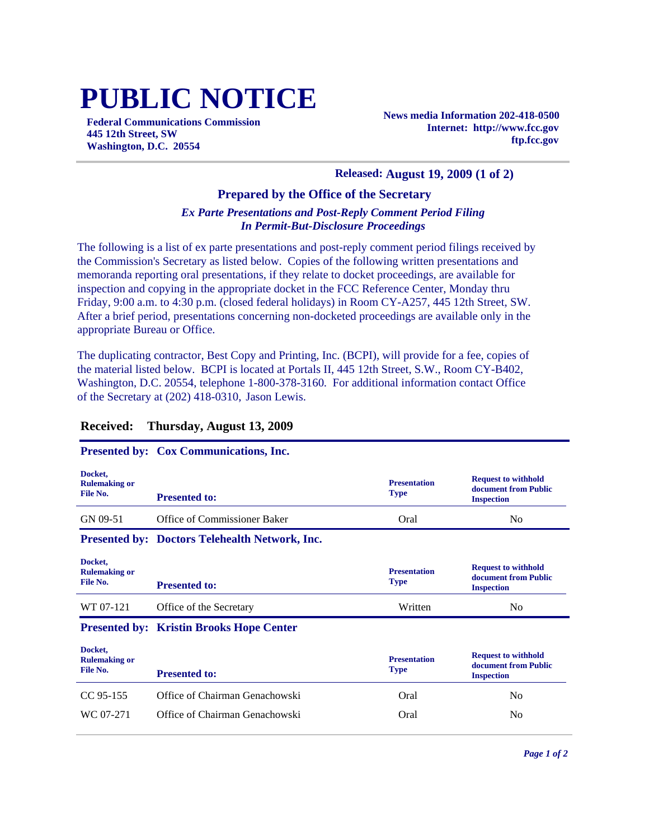# **PUBLIC NOTICE**

**Federal Communications Commission 445 12th Street, SW Washington, D.C. 20554**

**News media Information 202-418-0500 Internet: http://www.fcc.gov ftp.fcc.gov**

#### **Released: August 19, 2009 (1 of 2)**

### **Prepared by the Office of the Secretary**

#### *Ex Parte Presentations and Post-Reply Comment Period Filing In Permit-But-Disclosure Proceedings*

The following is a list of ex parte presentations and post-reply comment period filings received by the Commission's Secretary as listed below. Copies of the following written presentations and memoranda reporting oral presentations, if they relate to docket proceedings, are available for inspection and copying in the appropriate docket in the FCC Reference Center, Monday thru Friday, 9:00 a.m. to 4:30 p.m. (closed federal holidays) in Room CY-A257, 445 12th Street, SW. After a brief period, presentations concerning non-docketed proceedings are available only in the appropriate Bureau or Office.

The duplicating contractor, Best Copy and Printing, Inc. (BCPI), will provide for a fee, copies of the material listed below. BCPI is located at Portals II, 445 12th Street, S.W., Room CY-B402, Washington, D.C. 20554, telephone 1-800-378-3160. For additional information contact Office of the Secretary at (202) 418-0310, Jason Lewis.

#### **Received: Thursday, August 13, 2009**

#### **Presented by: Cox Communications, Inc.**

| Docket.<br><b>Rulemaking or</b><br>File No. | <b>Presented to:</b>                                  | <b>Presentation</b><br><b>Type</b> | <b>Request to withhold</b><br>document from Public<br><b>Inspection</b> |
|---------------------------------------------|-------------------------------------------------------|------------------------------------|-------------------------------------------------------------------------|
| GN 09-51                                    | Office of Commissioner Baker                          | Oral                               | N <sub>0</sub>                                                          |
|                                             | <b>Presented by: Doctors Telehealth Network, Inc.</b> |                                    |                                                                         |
| Docket,<br><b>Rulemaking or</b><br>File No. | <b>Presented to:</b>                                  | <b>Presentation</b><br><b>Type</b> | <b>Request to withhold</b><br>document from Public<br><b>Inspection</b> |
| WT 07-121                                   | Office of the Secretary                               | Written                            | N <sub>0</sub>                                                          |
|                                             | <b>Presented by: Kristin Brooks Hope Center</b>       |                                    |                                                                         |

| Docket,<br><b>Rulemaking or</b><br>File No. | <b>Presented to:</b>           | <b>Presentation</b><br><b>Type</b> | <b>Request to withhold</b><br>document from Public<br><b>Inspection</b> |
|---------------------------------------------|--------------------------------|------------------------------------|-------------------------------------------------------------------------|
| CC 95-155                                   | Office of Chairman Genachowski | Oral                               | No.                                                                     |
| WC 07-271                                   | Office of Chairman Genachowski | Oral                               | No                                                                      |